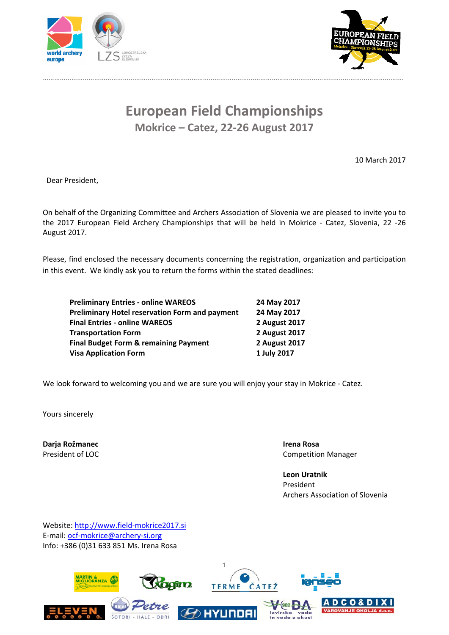

……………………………………………………………………………………………………………………………………..……………………………….



# **European Field Championships Mokrice – Catez, 22‐26 August 2017**

10 March 2017

Dear President,

On behalf of the Organizing Committee and Archers Association of Slovenia we are pleased to invite you to the 2017 European Field Archery Championships that will be held in Mokrice - Catez, Slovenia, 22 -26 August 2017.

Please, find enclosed the necessary documents concerning the registration, organization and participation in this event. We kindly ask you to return the forms within the stated deadlines:

**Preliminary Entries ‐ online WAREOS 24 May 2017 Preliminary Hotel reservation Form and payment 24 May 2017 Final Entries ‐ online WAREOS 2 August 2017 Transportation Form 2 August 2017 Final Budget Form & remaining Payment 2 August 2017 Visa Application Form 1 July 2017**

We look forward to welcoming you and we are sure you will enjoy your stay in Mokrice - Catez.

Yours sincerely

**Darja Rožmanec Irena Rosa**

President of LOC *DECOMPERSIMAL COMPETITION MANAGER* 

**Leon Uratnik** President Archers Association of Slovenia

Website: http://www.field‐mokrice2017.si E‐mail: ocf‐mokrice@archery‐si.org Info: +386 (0)31 633 851 Ms. Irena Rosa

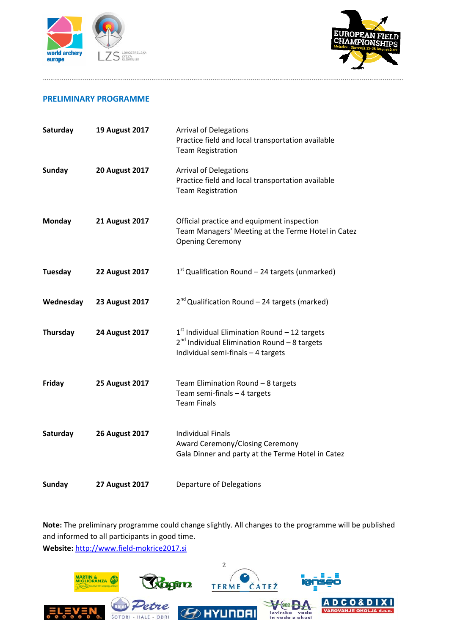



### **PRELIMINARY PROGRAMME**

| Saturday      | <b>19 August 2017</b> | <b>Arrival of Delegations</b><br>Practice field and local transportation available<br><b>Team Registration</b>                             |
|---------------|-----------------------|--------------------------------------------------------------------------------------------------------------------------------------------|
| <b>Sunday</b> | <b>20 August 2017</b> | <b>Arrival of Delegations</b><br>Practice field and local transportation available<br><b>Team Registration</b>                             |
| Monday        | <b>21 August 2017</b> | Official practice and equipment inspection<br>Team Managers' Meeting at the Terme Hotel in Catez<br><b>Opening Ceremony</b>                |
| Tuesday       | <b>22 August 2017</b> | $1st$ Qualification Round – 24 targets (unmarked)                                                                                          |
| Wednesday     | <b>23 August 2017</b> | $2^{nd}$ Qualification Round – 24 targets (marked)                                                                                         |
| Thursday      | <b>24 August 2017</b> | $1st$ Individual Elimination Round - 12 targets<br>$2^{nd}$ Individual Elimination Round - 8 targets<br>Individual semi-finals - 4 targets |
| Friday        | <b>25 August 2017</b> | Team Elimination Round - 8 targets<br>Team semi-finals - 4 targets<br><b>Team Finals</b>                                                   |
| Saturday      | <b>26 August 2017</b> | <b>Individual Finals</b><br>Award Ceremony/Closing Ceremony<br>Gala Dinner and party at the Terme Hotel in Catez                           |
| <b>Sunday</b> | <b>27 August 2017</b> | <b>Departure of Delegations</b>                                                                                                            |

……………………………………………………………………………………………………………………………………..……………………………….

**Note:** The preliminary programme could change slightly. All changes to the programme will be published and informed to all participants in good time. **Website:** http://www.field‐mokrice2017.si

2 **AGITA TERME CATEZ** MARTIN & MIGLIORANZA 0 & D I X I  $-902 -$ O AI izvirska voda ŠOTORI - HALE - ODRI in voda z okusi J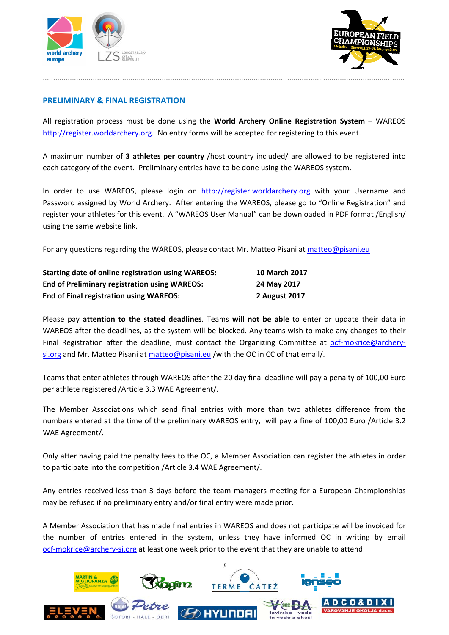



# **PRELIMINARY & FINAL REGISTRATION**

All registration process must be done using the **World Archery Online Registration System** – WAREOS http://register.worldarchery.org. No entry forms will be accepted for registering to this event.

A maximum number of **3 athletes per country** /host country included/ are allowed to be registered into each category of the event. Preliminary entries have to be done using the WAREOS system.

In order to use WAREOS, please login on http://register.worldarchery.org with your Username and Password assigned by World Archery. After entering the WAREOS, please go to "Online Registration" and register your athletes for this event. A "WAREOS User Manual" can be downloaded in PDF format /English/ using the same website link.

For any questions regarding the WAREOS, please contact Mr. Matteo Pisani at matteo@pisani.eu

| <b>Starting date of online registration using WAREOS:</b> | <b>10 March 2017</b> |
|-----------------------------------------------------------|----------------------|
| <b>End of Preliminary registration using WAREOS:</b>      | 24 May 2017          |
| <b>End of Final registration using WAREOS:</b>            | 2 August 2017        |

Please pay **attention to the stated deadlines**. Teams **will not be able** to enter or update their data in WAREOS after the deadlines, as the system will be blocked. Any teams wish to make any changes to their Final Registration after the deadline, must contact the Organizing Committee at ocf-mokrice@archerysi.org and Mr. Matteo Pisani at matteo@pisani.eu /with the OC in CC of that email/.

Teams that enter athletes through WAREOS after the 20 day final deadline will pay a penalty of 100,00 Euro per athlete registered /Article 3.3 WAE Agreement/.

The Member Associations which send final entries with more than two athletes difference from the numbers entered at the time of the preliminary WAREOS entry, will pay a fine of 100,00 Euro /Article 3.2 WAE Agreement/.

Only after having paid the penalty fees to the OC, a Member Association can register the athletes in order to participate into the competition /Article 3.4 WAE Agreement/.

Any entries received less than 3 days before the team managers meeting for a European Championships may be refused if no preliminary entry and/or final entry were made prior.

A Member Association that has made final entries in WAREOS and does not participate will be invoiced for the number of entries entered in the system, unless they have informed OC in writing by email ocf-mokrice@archery-si.org at least one week prior to the event that they are unable to attend.

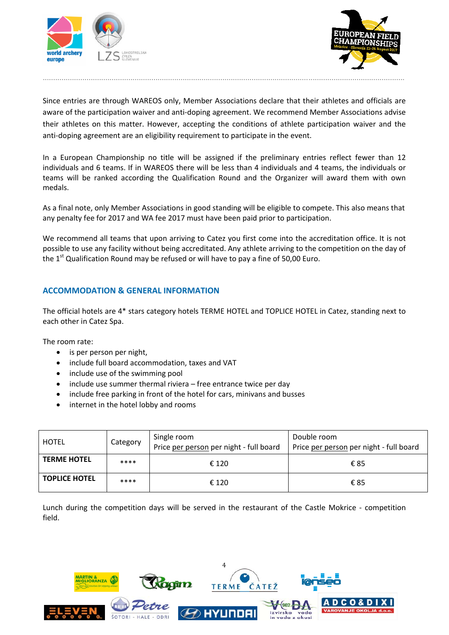



Since entries are through WAREOS only, Member Associations declare that their athletes and officials are aware of the participation waiver and anti-doping agreement. We recommend Member Associations advise their athletes on this matter. However, accepting the conditions of athlete participation waiver and the anti-doping agreement are an eligibility requirement to participate in the event.

.............................................................................................................................................................................

In a European Championship no title will be assigned if the preliminary entries reflect fewer than 12 individuals and 6 teams. If in WAREOS there will be less than 4 individuals and 4 teams, the individuals or teams will be ranked according the Qualification Round and the Organizer will award them with own medals.

As a final note, only Member Associations in good standing will be eligible to compete. This also means that any penalty fee for 2017 and WA fee 2017 must have been paid prior to participation.

We recommend all teams that upon arriving to Catez you first come into the accreditation office. It is not possible to use any facility without being accreditated. Any athlete arriving to the competition on the day of the  $1<sup>st</sup>$  Qualification Round may be refused or will have to pay a fine of 50,00 Euro.

### **ACCOMMODATION & GENERAL INFORMATION**

The official hotels are 4\* stars category hotels TERME HOTEL and TOPLICE HOTEL in Catez, standing next to each other in Catez Spa.

The room rate:

- is per person per night,
- include full board accommodation, taxes and VAT
- include use of the swimming pool
- $\bullet$  include use summer thermal riviera free entrance twice per day
- include free parking in front of the hotel for cars, minivans and busses
- internet in the hotel lobby and rooms

| HOTEL                | Category | Single room<br>Price per person per night - full board | Double room<br>Price per person per night - full board |
|----------------------|----------|--------------------------------------------------------|--------------------------------------------------------|
| <b>TERME HOTEL</b>   | ****     | € 120                                                  | €85                                                    |
| <b>TOPLICE HOTEL</b> | ****     | € 120                                                  | €85                                                    |

Lunch during the competition days will be served in the restaurant of the Castle Mokrice - competition field.

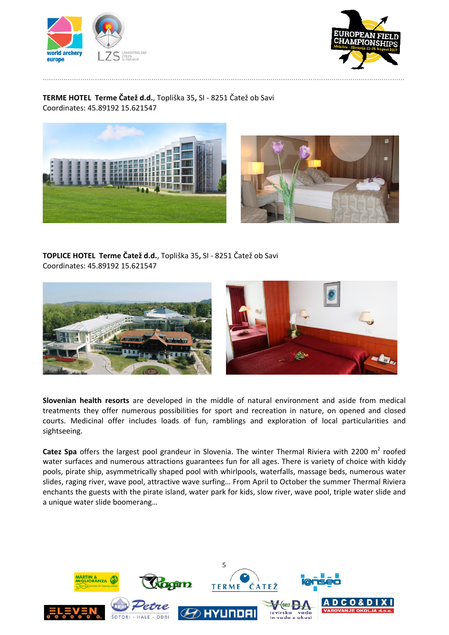



# **TERME HOTEL Terme Čatež d.d.**, Topliška 35**,** SI ‐ 8251 Čatež ob Savi Coordinates: 45.89192 15.621547





**TOPLICE HOTEL Terme Čatež d.d.**, Topliška 35**,** SI ‐ 8251 Čatež ob Savi Coordinates: 45.89192 15.621547



**Slovenian health resorts** are developed in the middle of natural environment and aside from medical treatments they offer numerous possibilities for sport and recreation in nature, on opened and closed courts. Medicinal offer includes loads of fun, ramblings and exploration of local particularities and sightseeing.

**Catez Spa** offers the largest pool grandeur in Slovenia. The winter Thermal Riviera with 2200 m<sup>2</sup> roofed water surfaces and numerous attractions guarantees fun for all ages. There is variety of choice with kiddy pools, pirate ship, asymmetrically shaped pool with whirlpools, waterfalls, massage beds, numerous water slides, raging river, wave pool, attractive wave surfing… From April to October the summer Thermal Riviera enchants the guests with the pirate island, water park for kids, slow river, wave pool, triple water slide and a unique water slide boomerang…

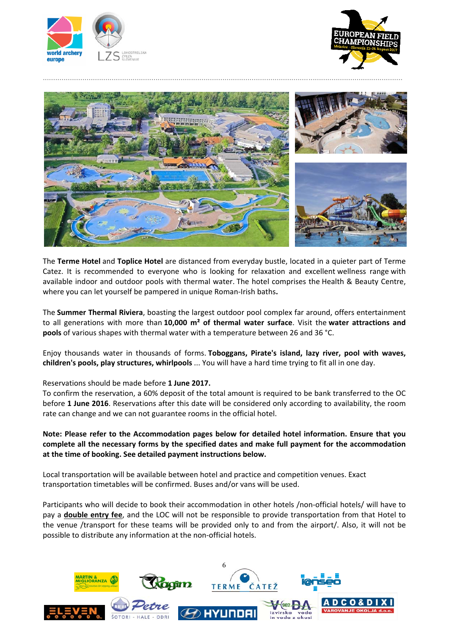





The **Terme Hotel** and **Toplice Hotel** are distanced from everyday bustle, located in a quieter part of Terme Catez. It is recommended to everyone who is looking for relaxation and excellent wellness range with available indoor and outdoor pools with thermal water. The hotel comprises the Health & Beauty Centre, where you can let yourself be pampered in unique Roman‐Irish baths**.**

The **Summer Thermal Riviera**, boasting the largest outdoor pool complex far around, offers entertainment to all generations with more than **10,000 m² of thermal water surface**. Visit the **water attractions and pools** of various shapes with thermal water with a temperature between 26 and 36 °C.

Enjoy thousands water in thousands of forms. **Toboggans, Pirate's island, lazy river, pool with waves, children's pools, play structures, whirlpools** ... You will have a hard time trying to fit all in one day.

#### Reservations should be made before **1 June 2017.**

To confirm the reservation, a 60% deposit of the total amount is required to be bank transferred to the OC before **1 June 2016**. Reservations after this date will be considered only according to availability, the room rate can change and we can not guarantee rooms in the official hotel.

**Note: Please refer to the Accommodation pages below for detailed hotel information. Ensure that you complete all the necessary forms by the specified dates and make full payment for the accommodation at the time of booking. See detailed payment instructions below.**

Local transportation will be available between hotel and practice and competition venues. Exact transportation timetables will be confirmed. Buses and/or vans will be used.

Participants who will decide to book their accommodation in other hotels /non‐official hotels/ will have to pay a **double entry fee**, and the LOC will not be responsible to provide transportation from that Hotel to the venue /transport for these teams will be provided only to and from the airport/. Also, it will not be possible to distribute any information at the non‐official hotels.

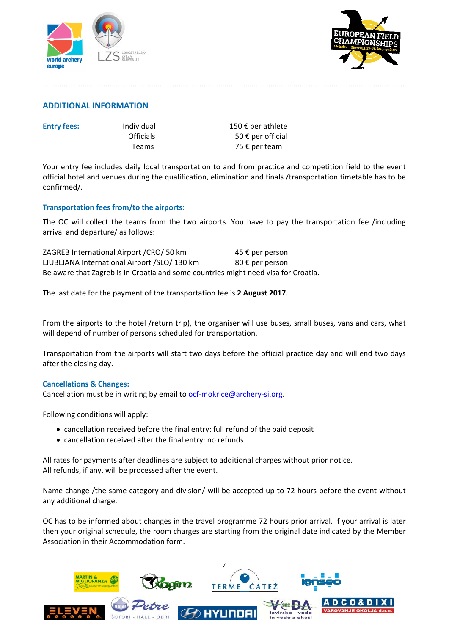



### **ADDITIONAL INFORMATION**

| <b>Entry Ter</b> |
|------------------|
|------------------|

**Example 150 € per athlete fees:** Individual **150** € per athlete Officials  $50 \text{ } \infty$  per official Teams 75 € per team

Your entry fee includes daily local transportation to and from practice and competition field to the event official hotel and venues during the qualification, elimination and finals /transportation timetable has to be confirmed/.

.............................................................................................................................................................................

### **Transportation fees from/to the airports:**

The OC will collect the teams from the two airports. You have to pay the transportation fee /including arrival and departure/ as follows:

ZAGREB International Airport / CRO / 50 km 45 € per person LJUBLJANA International Airport /SLO/ 130 km 80  $\epsilon$  per person Be aware that Zagreb is in Croatia and some countries might need visa for Croatia.

The last date for the payment of the transportation fee is **2 August 2017**.

From the airports to the hotel /return trip), the organiser will use buses, small buses, vans and cars, what will depend of number of persons scheduled for transportation.

Transportation from the airports will start two days before the official practice day and will end two days after the closing day.

#### **Cancellations & Changes:**

Cancellation must be in writing by email to ocf-mokrice@archery-si.org.

Following conditions will apply:

- cancellation received before the final entry: full refund of the paid deposit
- cancellation received after the final entry: no refunds

All rates for payments after deadlines are subject to additional charges without prior notice. All refunds, if any, will be processed after the event.

Name change /the same category and division/ will be accepted up to 72 hours before the event without any additional charge.

OC has to be informed about changes in the travel programme 72 hours prior arrival. If your arrival is later then your original schedule, the room charges are starting from the original date indicated by the Member Association in their Accommodation form.

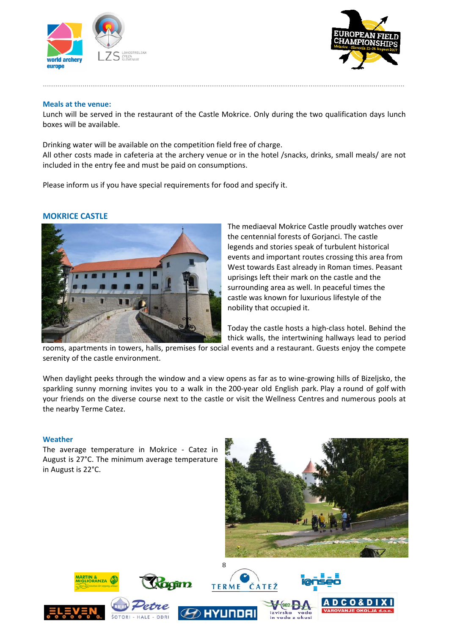



#### **Meals at the venue:**

Lunch will be served in the restaurant of the Castle Mokrice. Only during the two qualification days lunch boxes will be available.

.............................................................................................................................................................................

Drinking water will be available on the competition field free of charge. All other costs made in cafeteria at the archery venue or in the hotel /snacks, drinks, small meals/ are not included in the entry fee and must be paid on consumptions.

Please inform us if you have special requirements for food and specify it.

### **MOKRICE CASTLE**



The mediaeval Mokrice Castle proudly watches over the centennial forests of Gorianci. The castle legends and stories speak of turbulent historical events and important routes crossing this area from West towards East already in Roman times. Peasant uprisings left their mark on the castle and the surrounding area as well. In peaceful times the castle was known for luxurious lifestyle of the nobility that occupied it.

Today the castle hosts a high‐class hotel. Behind the thick walls, the intertwining hallways lead to period

rooms, apartments in towers, halls, premises for social events and a restaurant. Guests enjoy the compete serenity of the castle environment.

When daylight peeks through the window and a view opens as far as to wine‐growing hills of Bizeljsko, the sparkling sunny morning invites you to a walk in the 200-year old English park. Play a round of golf with your friends on the diverse course next to the castle or visit the Wellness Centres and numerous pools at the nearby Terme Catez.

#### **Weather**

The average temperature in Mokrice - Catez in August is 27°C. The minimum average temperature in August is 22°C.





J





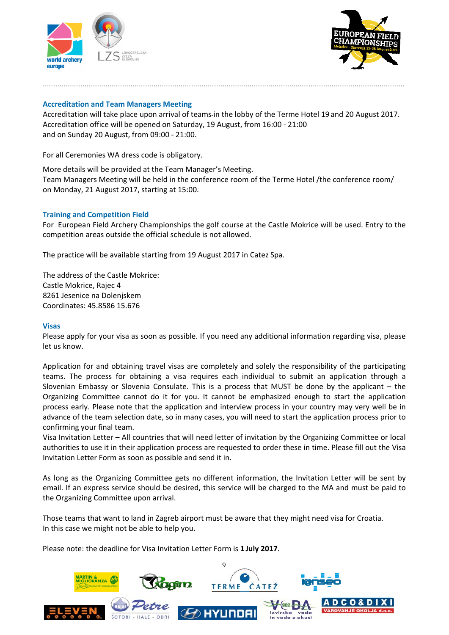



#### **Accreditation and Team Managers Meeting**

Accreditation will take place upon arrival of teams in the lobby of the Terme Hotel 19 and 20 August 2017. Accreditation office will be opened on Saturday, 19 August, from 16:00 ‐ 21:00 and on Sunday 20 August, from 09:00 ‐ 21:00.

.............................................................................................................................................................................

For all Ceremonies WA dress code is obligatory.

More details will be provided at the Team Manager's Meeting. Team Managers Meeting will be held in the conference room of the Terme Hotel /the conference room/ on Monday, 21 August 2017, starting at 15:00.

#### **Training and Competition Field**

For European Field Archery Championships the golf course at the Castle Mokrice will be used. Entry to the competition areas outside the official schedule is not allowed.

The practice will be available starting from 19 August 2017 in Catez Spa.

The address of the Castle Mokrice: Castle Mokrice, Rajec 4 8261 Jesenice na Dolenjskem Coordinates: 45.8586 15.676

#### **Visas**

Please apply for your visa as soon as possible. If you need any additional information regarding visa, please let us know.

Application for and obtaining travel visas are completely and solely the responsibility of the participating teams. The process for obtaining a visa requires each individual to submit an application through a Slovenian Embassy or Slovenia Consulate. This is a process that MUST be done by the applicant – the Organizing Committee cannot do it for you. It cannot be emphasized enough to start the application process early. Please note that the application and interview process in your country may very well be in advance of the team selection date, so in many cases, you will need to start the application process prior to confirming your final team.

Visa Invitation Letter – All countries that will need letter of invitation by the Organizing Committee or local authorities to use it in their application process are requested to order these in time. Please fill out the Visa Invitation Letter Form as soon as possible and send it in.

As long as the Organizing Committee gets no different information, the Invitation Letter will be sent by email. If an express service should be desired, this service will be charged to the MA and must be paid to the Organizing Committee upon arrival.

Those teams that want to land in Zagreb airport must be aware that they might need visa for Croatia. In this case we might not be able to help you.

Please note: the deadline for Visa Invitation Letter Form is **1 July 2017**.

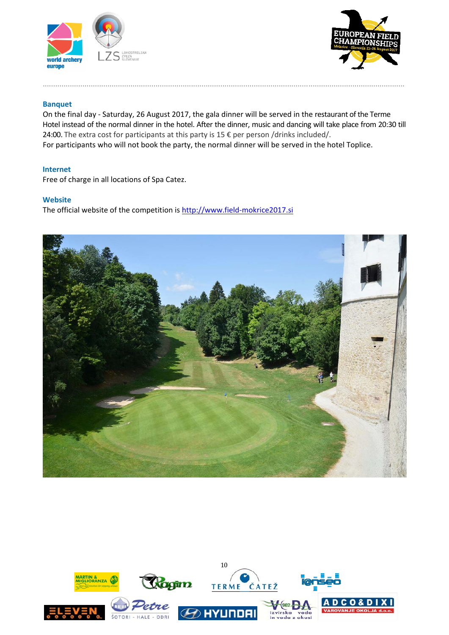



#### **Banquet**

On the final day ‐ Saturday, 26 August 2017, the gala dinner will be served in the restaurant of the Terme Hotel instead of the normal dinner in the hotel. After the dinner, music and dancing will take place from 20:30 till 24:00. The extra cost for participants at this party is 15 € per person /drinks included/. For participants who will not book the party, the normal dinner will be served in the hotel Toplice.

.............................................................................................................................................................................

#### **Internet**

Free of charge in all locations of Spa Catez.

#### **Website**

The official website of the competition is http://www.field‐mokrice2017.si



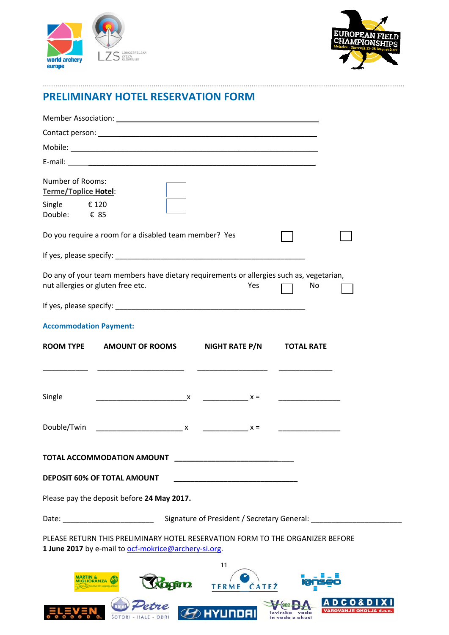



# **PRELIMINARY HOTEL RESERVATION FORM**

| Number of Rooms:<br><b>Terme/Toplice Hotel:</b>                                                                                           |
|-------------------------------------------------------------------------------------------------------------------------------------------|
| Single $€ 120$<br>Double: € 85                                                                                                            |
| Do you require a room for a disabled team member? Yes                                                                                     |
|                                                                                                                                           |
| Do any of your team members have dietary requirements or allergies such as, vegetarian,<br>nut allergies or gluten free etc.<br>Yes<br>No |
|                                                                                                                                           |
| <b>Accommodation Payment:</b>                                                                                                             |
| NIGHT RATE P/N<br><b>ROOM TYPE</b><br><b>AMOUNT OF ROOMS</b><br><b>TOTAL RATE</b>                                                         |
|                                                                                                                                           |
|                                                                                                                                           |
| Single<br><u> 1990 - Johann Barn, mars and de Branch Barn, mars and de Branch Barn, mars and de Branch Barn, mars and de Br</u>           |
| Double/Twin<br>$x =$                                                                                                                      |
| <b>TOTAL ACCOMMODATION AMOUNT</b>                                                                                                         |
| <b>DEPOSIT 60% OF TOTAL AMOUNT</b>                                                                                                        |
| Please pay the deposit before 24 May 2017.                                                                                                |
| Signature of President / Secretary General: _________                                                                                     |
| PLEASE RETURN THIS PRELIMINARY HOTEL RESERVATION FORM TO THE ORGANIZER BEFORE<br>1 June 2017 by e-mail to ocf-mokrice@archery-si.org.     |
| 11                                                                                                                                        |
| TERME ČATEŽ                                                                                                                               |
| C O<br><b>HYUNDAI</b><br><b>VAROVANJE OKOLJA</b>                                                                                          |

.............................................................................................................................................................................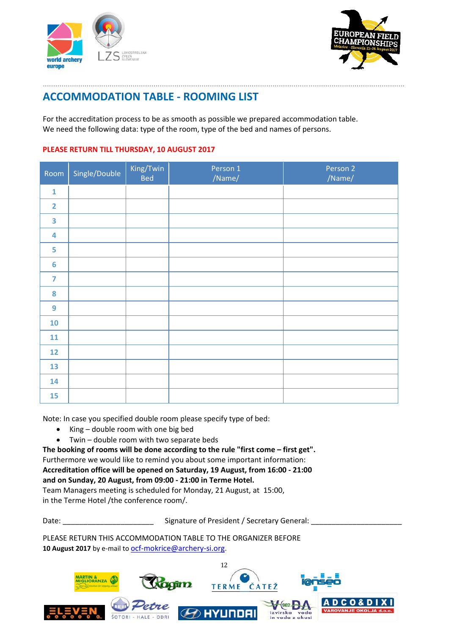



# **ACCOMMODATION TABLE ‐ ROOMING LIST**

For the accreditation process to be as smooth as possible we prepared accommodation table. We need the following data: type of the room, type of the bed and names of persons.

.............................................................................................................................................................................

#### **PLEASE RETURN TILL THURSDAY, 10 AUGUST 2017**

| Room                    | Single/Double | King/Twin<br><b>Bed</b> | Person 1<br>/Name/ | Person 2<br>/Name/ |
|-------------------------|---------------|-------------------------|--------------------|--------------------|
| $\mathbf 1$             |               |                         |                    |                    |
| $\overline{2}$          |               |                         |                    |                    |
| $\overline{\mathbf{3}}$ |               |                         |                    |                    |
| $\overline{\mathbf{4}}$ |               |                         |                    |                    |
| 5                       |               |                         |                    |                    |
| $6\phantom{1}6$         |               |                         |                    |                    |
| $\overline{7}$          |               |                         |                    |                    |
| 8                       |               |                         |                    |                    |
| $\overline{9}$          |               |                         |                    |                    |
| 10                      |               |                         |                    |                    |
| 11                      |               |                         |                    |                    |
| 12                      |               |                         |                    |                    |
| 13                      |               |                         |                    |                    |
| 14                      |               |                         |                    |                    |
| 15                      |               |                         |                    |                    |

Note: In case you specified double room please specify type of bed:

- $\bullet$  King double room with one big bed
- Twin double room with two separate beds

**The booking of rooms will be done according to the rule "first come – first get".** Furthermore we would like to remind you about some important information: **Accreditation office will be opened on Saturday, 19 August, from 16:00 ‐ 21:00 and on Sunday, 20 August, from 09:00 ‐ 21:00 in Terme Hotel.** Team Managers meeting is scheduled for Monday, 21 August, at 15:00,

in the Terme Hotel /the conference room/.

Date: \_\_\_\_\_\_\_\_\_\_\_\_\_\_\_\_\_\_\_\_\_\_\_\_\_\_\_\_\_\_\_\_\_Signature of President / Secretary General: \_

PLEASE RETURN THIS ACCOMMODATION TABLE TO THE ORGANIZER BEFORE 10 **August 2017** by e-mail to **ocf-mokrice@archery-si.org.** 

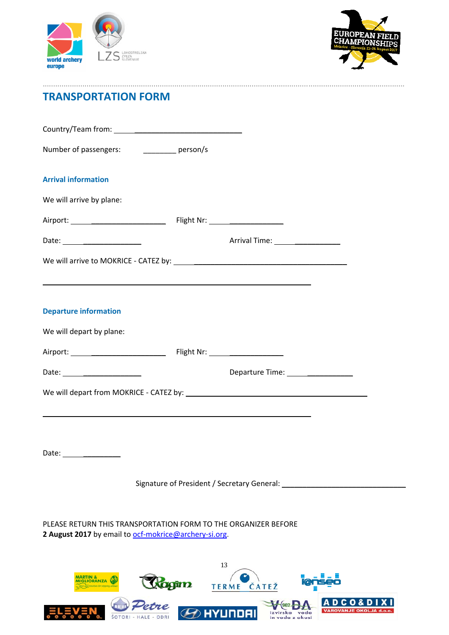



# **TRANSPORTATION FORM**

| Number of passengers: _____________ person/s                                                                            |                                                                                  |
|-------------------------------------------------------------------------------------------------------------------------|----------------------------------------------------------------------------------|
| <b>Arrival information</b>                                                                                              |                                                                                  |
| We will arrive by plane:                                                                                                |                                                                                  |
|                                                                                                                         |                                                                                  |
|                                                                                                                         | Arrival Time: ___________________                                                |
|                                                                                                                         |                                                                                  |
| <b>Departure information</b>                                                                                            |                                                                                  |
| We will depart by plane:                                                                                                |                                                                                  |
|                                                                                                                         |                                                                                  |
|                                                                                                                         | Departure Time: __________________                                               |
|                                                                                                                         | ,我们也不会有什么。""我们的人,我们也不会有什么?""我们的人,我们也不会有什么?""我们的人,我们也不会有什么?""我们的人,我们也不会有什么?""我们的人 |
| Date:<br><u> 1990 - Johann Barnett, fransk politiker (</u>                                                              |                                                                                  |
|                                                                                                                         | Signature of President / Secretary General:                                      |
| PLEASE RETURN THIS TRANSPORTATION FORM TO THE ORGANIZER BEFORE<br>2 August 2017 by email to ocf-mokrice@archery-si.org. |                                                                                  |
|                                                                                                                         |                                                                                  |

.............................................................................................................................................................................

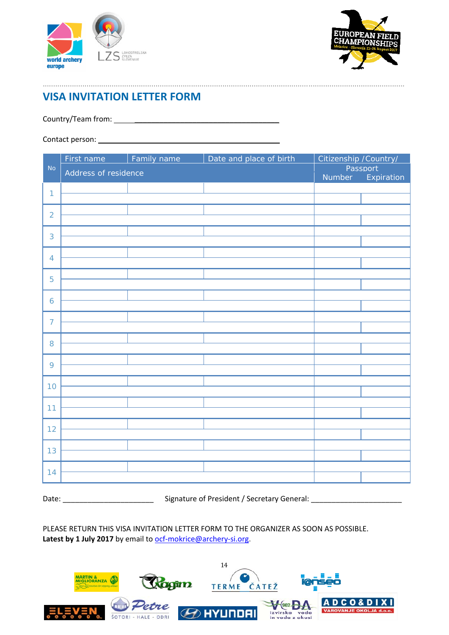



# **VISA INVITATION LETTER FORM**

Country/Team from: \_\_\_\_\_\_\_\_\_\_\_\_\_\_\_\_\_\_\_\_\_\_\_\_\_\_\_\_\_\_\_\_\_\_\_

Contact person: \_\_\_\_\_\_\_\_\_\_\_\_\_\_\_\_\_\_\_\_\_\_\_\_\_\_\_\_\_\_\_\_\_\_\_\_\_\_\_

|                | First name           | Family name | Date and place of birth | Citizenship /Country/ |                        |
|----------------|----------------------|-------------|-------------------------|-----------------------|------------------------|
| <b>No</b>      | Address of residence |             |                         | Number                | Passport<br>Expiration |
| $\mathbf{1}$   |                      |             |                         |                       |                        |
|                |                      |             |                         |                       |                        |
| $\overline{2}$ |                      |             |                         |                       |                        |
|                |                      |             |                         |                       |                        |
| 3              |                      |             |                         |                       |                        |
|                |                      |             |                         |                       |                        |
| $\overline{4}$ |                      |             |                         |                       |                        |
| 5              |                      |             |                         |                       |                        |
|                |                      |             |                         |                       |                        |
| 6              |                      |             |                         |                       |                        |
|                |                      |             |                         |                       |                        |
| $\overline{7}$ |                      |             |                         |                       |                        |
|                |                      |             |                         |                       |                        |
| 8              |                      |             |                         |                       |                        |
| 9              |                      |             |                         |                       |                        |
|                |                      |             |                         |                       |                        |
| 10             |                      |             |                         |                       |                        |
|                |                      |             |                         |                       |                        |
| 11             |                      |             |                         |                       |                        |
|                |                      |             |                         |                       |                        |
| 12             |                      |             |                         |                       |                        |
|                |                      |             |                         |                       |                        |
| 13             |                      |             |                         |                       |                        |
| 14             |                      |             |                         |                       |                        |
|                |                      |             |                         |                       |                        |
|                |                      |             |                         |                       |                        |

.............................................................................................................................................................................

Date: \_\_\_\_\_\_\_\_\_\_\_\_\_\_\_\_\_\_\_\_\_\_ Signature of President / Secretary General: \_\_\_\_\_\_\_\_\_\_\_\_\_\_\_\_\_\_\_\_\_\_

PLEASE RETURN THIS VISA INVITATION LETTER FORM TO THE ORGANIZER AS SOON AS POSSIBLE. Latest by 1 July 2017 by email to ocf-mokrice@archery-si.org.

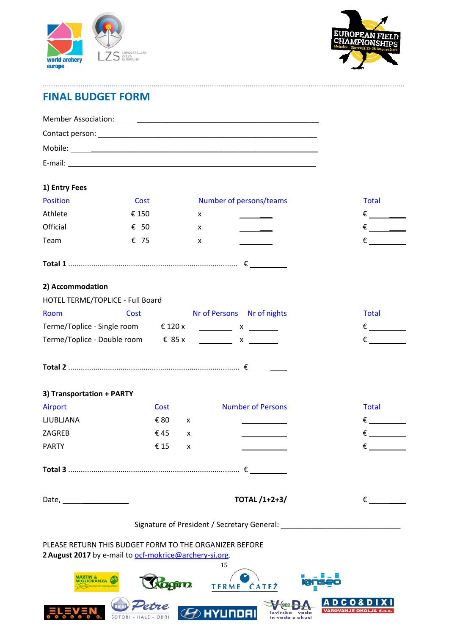



# **FINAL BUDGET FORM**

| 1) Entry Fees                          |                                                                                |   |                                                                  |                           |
|----------------------------------------|--------------------------------------------------------------------------------|---|------------------------------------------------------------------|---------------------------|
| <b>Position</b>                        | Cost                                                                           |   | Number of persons/teams                                          | <b>Total</b>              |
| Athlete                                | € 150                                                                          | x |                                                                  | $\epsilon$ and $\epsilon$ |
| Official                               | $\epsilon$ 50                                                                  | x |                                                                  |                           |
| Team                                   | € 75                                                                           | x |                                                                  |                           |
|                                        |                                                                                |   |                                                                  |                           |
| 2) Accommodation                       |                                                                                |   |                                                                  |                           |
|                                        | HOTEL TERME/TOPLICE - Full Board                                               |   |                                                                  |                           |
| Room                                   | Cost                                                                           |   | Nr of Persons Nr of nights                                       | <b>Total</b>              |
|                                        | Terme/Toplice - Single room $\qquad \qquad \in 120 \times$ _________ x _______ |   |                                                                  |                           |
|                                        | Terme/Toplice - Double room $\qquad \in 85 x$ <u>________</u> x _______        |   |                                                                  | $\epsilon$                |
|                                        |                                                                                |   |                                                                  |                           |
| 3) Transportation + PARTY              |                                                                                |   |                                                                  |                           |
| <b>Airport</b>                         | Cost                                                                           |   | <b>Number of Persons</b>                                         | <b>Total</b>              |
| <b>LJUBLJANA</b>                       | € 80                                                                           | X | and the company                                                  | $\epsilon$                |
| ZAGREB                                 | €45                                                                            | x |                                                                  |                           |
| <b>PARTY</b>                           | € 15                                                                           | x |                                                                  | $\epsilon$                |
|                                        |                                                                                |   |                                                                  |                           |
|                                        |                                                                                |   | <b>TOTAL /1+2+3/</b>                                             | €                         |
|                                        |                                                                                |   | Signature of President / Secretary General: Cambridge Contractor |                           |
|                                        | PLEASE RETURN THIS BUDGET FORM TO THE ORGANIZER BEFORE                         |   |                                                                  |                           |
|                                        | 2 August 2017 by e-mail to ocf-mokrice@archery-si.org.                         |   | 15                                                               |                           |
| <b>ARTIN &amp;</b><br><b>GLIORANZA</b> |                                                                                |   | TERME ČATEŽ                                                      |                           |
|                                        |                                                                                |   |                                                                  |                           |

.............................................................................................................................................................................